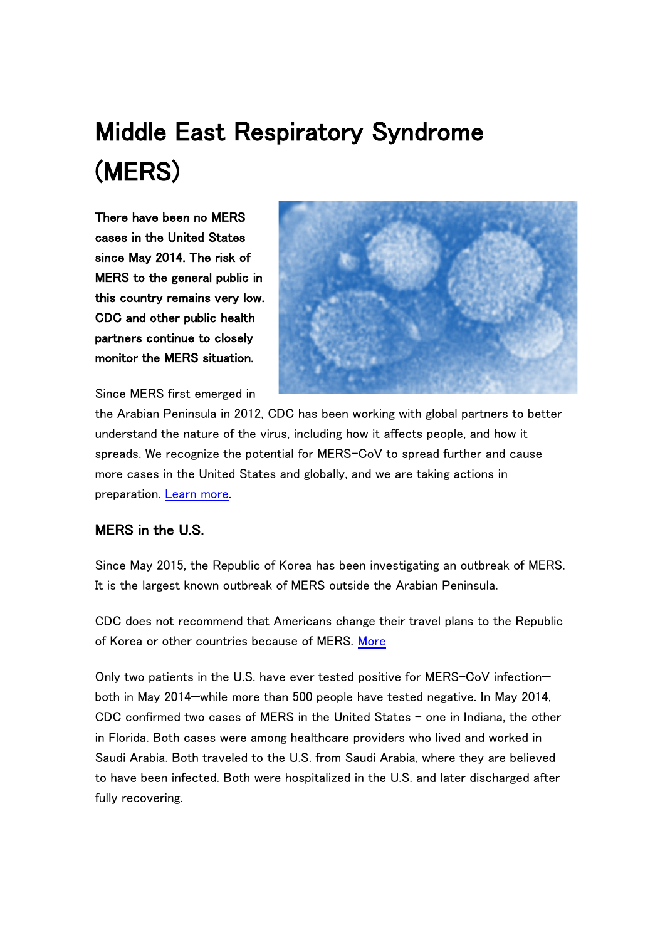# Middle East Respiratory Syndrome (MERS)

There have been no MERS cases in the United States since May 2014. The risk of MERS to the general public in this country remains very low. CDC and other public health partners continue to closely monitor the MERS situation.



Since MERS first emerged in

the Arabian Peninsula in 2012, CDC has been working with global partners to better understand the nature of the virus, including how it affects people, and how it spreads. We recognize the potential for MERS-CoV to spread further and cause more cases in the United States and globally, and we are taking actions in preparation. [Learn more.](http://www.cdc.gov/coronavirus/mers/us.html)

## MERS in the U.S.

Since May 2015, the Republic of Korea has been investigating an outbreak of MERS. It is the largest known outbreak of MERS outside the Arabian Peninsula.

CDC does not recommend that Americans change their travel plans to the Republic of Korea or other countries because of MERS. [More](http://www.cdc.gov/coronavirus/mers/index.html)

Only two patients in the U.S. have ever tested positive for MERS-CoV infection both in May 2014—while more than 500 people have tested negative. In May 2014, CDC confirmed two cases of MERS in the United States – one in Indiana, the other in Florida. Both cases were among healthcare providers who lived and worked in Saudi Arabia. Both traveled to the U.S. from Saudi Arabia, where they are believed to have been infected. Both were hospitalized in the U.S. and later discharged after fully recovering.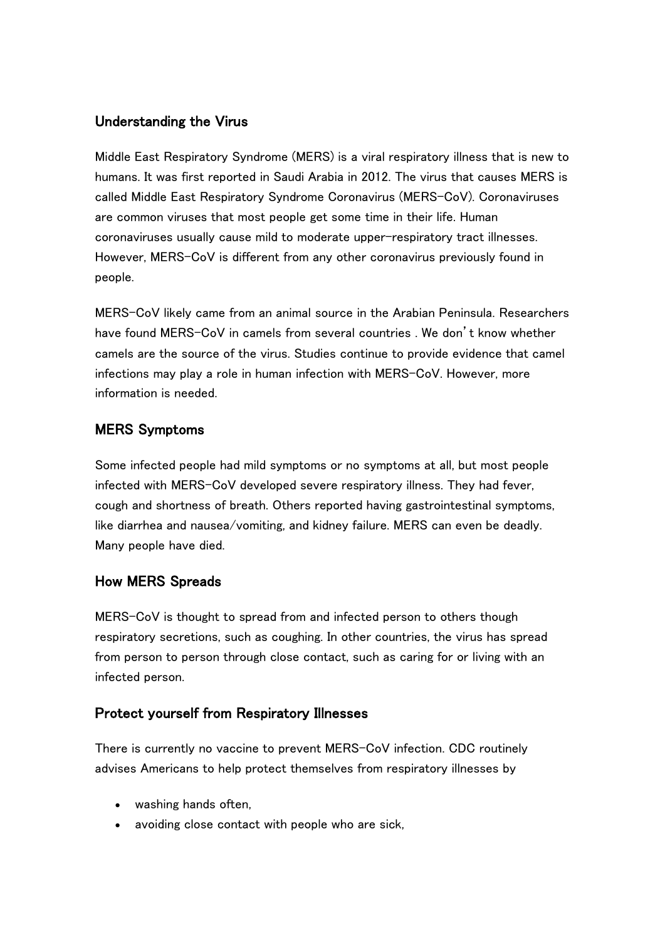### Understanding the Virus

Middle East Respiratory Syndrome (MERS) is a viral respiratory illness that is new to humans. It was first reported in Saudi Arabia in 2012. The virus that causes MERS is called Middle East Respiratory Syndrome Coronavirus (MERS-CoV). Coronaviruses are common viruses that most people get some time in their life. Human coronaviruses usually cause mild to moderate upper-respiratory tract illnesses. However, MERS-CoV is different from any other coronavirus previously found in people.

MERS-CoV likely came from an animal source in the Arabian Peninsula. Researchers have found MERS-CoV in camels from several countries . We don't know whether camels are the source of the virus. Studies continue to provide evidence that camel infections may play a role in human infection with MERS-CoV. However, more information is needed.

## MERS Symptoms

Some infected people had mild symptoms or no symptoms at all, but most people infected with MERS-CoV developed severe respiratory illness. They had fever, cough and shortness of breath. Others reported having gastrointestinal symptoms, like diarrhea and nausea/vomiting, and kidney failure. MERS can even be deadly. Many people have died.

#### How MERS Spreads

MERS-CoV is thought to spread from and infected person to others though respiratory secretions, such as coughing. In other countries, the virus has spread from person to person through close contact, such as caring for or living with an infected person.

#### Protect yourself from Respiratory Illnesses

There is currently no vaccine to prevent MERS-CoV infection. CDC routinely advises Americans to help protect themselves from respiratory illnesses by

- washing hands often,
- avoiding close contact with people who are sick,